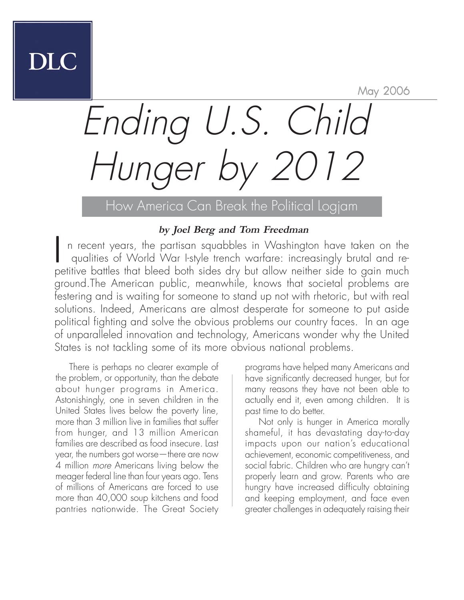May 2006

# Ending U.S. Child Hunger by 2012

How America Can Break the Political Logjam

#### **by Joel Berg and Tom Freedman**

I n recent years, the partisan squabbles in Washington have taken on the qualities of World War I-style trench warfare: increasingly brutal and repetitive battles that bleed both sides dry but allow neither side to gain much ground.The American public, meanwhile, knows that societal problems are festering and is waiting for someone to stand up not with rhetoric, but with real solutions. Indeed, Americans are almost desperate for someone to put aside political fighting and solve the obvious problems our country faces. In an age of unparalleled innovation and technology, Americans wonder why the United States is not tackling some of its more obvious national problems.

There is perhaps no clearer example of the problem, or opportunity, than the debate about hunger programs in America. Astonishingly, one in seven children in the United States lives below the poverty line, more than 3 million live in families that suffer from hunger, and 13 million American families are described as food insecure. Last year, the numbers got worse—there are now 4 million more Americans living below the meager federal line than four years ago. Tens of millions of Americans are forced to use more than 40,000 soup kitchens and food pantries nationwide. The Great Society

programs have helped many Americans and have significantly decreased hunger, but for many reasons they have not been able to actually end it, even among children. It is past time to do better.

Not only is hunger in America morally shameful, it has devastating day-to-day impacts upon our nation's educational achievement, economic competitiveness, and social fabric. Children who are hungry can't properly learn and grow. Parents who are hungry have increased difficulty obtaining and keeping employment, and face even greater challenges in adequately raising their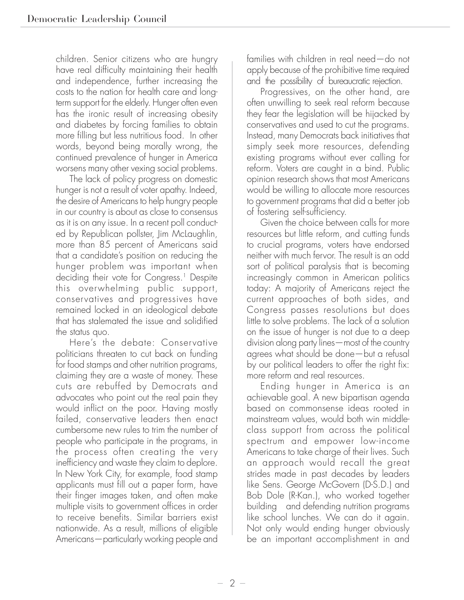children. Senior citizens who are hungry have real difficulty maintaining their health and independence, further increasing the costs to the nation for health care and longterm support for the elderly. Hunger often even has the ironic result of increasing obesity and diabetes by forcing families to obtain more filling but less nutritious food. In other words, beyond being morally wrong, the continued prevalence of hunger in America worsens many other vexing social problems.

The lack of policy progress on domestic hunger is not a result of voter apathy. Indeed, the desire of Americans to help hungry people in our country is about as close to consensus as it is on any issue. In a recent poll conducted by Republican pollster, Jim McLaughlin, more than 85 percent of Americans said that a candidate's position on reducing the hunger problem was important when deciding their vote for Congress.<sup>1</sup> Despite this overwhelming public support, conservatives and progressives have remained locked in an ideological debate that has stalemated the issue and solidified the status quo.

Here's the debate: Conservative politicians threaten to cut back on funding for food stamps and other nutrition programs, claiming they are a waste of money. These cuts are rebuffed by Democrats and advocates who point out the real pain they would inflict on the poor. Having mostly failed, conservative leaders then enact cumbersome new rules to trim the number of people who participate in the programs, in the process often creating the very inefficiency and waste they claim to deplore. In New York City, for example, food stamp applicants must fill out a paper form, have their finger images taken, and often make multiple visits to government offices in order to receive benefits. Similar barriers exist nationwide. As a result, millions of eligible Americans—particularly working people and

families with children in real need—do not apply because of the prohibitive time required and the possibility of bureaucratic rejection.

Progressives, on the other hand, are often unwilling to seek real reform because they fear the legislation will be hijacked by conservatives and used to cut the programs. Instead, many Democrats back initiatives that simply seek more resources, defending existing programs without ever calling for reform. Voters are caught in a bind. Public opinion research shows that most Americans would be willing to allocate more resources to government programs that did a better job of fostering self-sufficiency.

Given the choice between calls for more resources but little reform, and cutting funds to crucial programs, voters have endorsed neither with much fervor. The result is an odd sort of political paralysis that is becoming increasingly common in American politics today: A majority of Americans reject the current approaches of both sides, and Congress passes resolutions but does little to solve problems. The lack of a solution on the issue of hunger is not due to a deep division along party lines—most of the country agrees what should be done—but a refusal by our political leaders to offer the right fix: more reform and real resources.

Ending hunger in America is an achievable goal. A new bipartisan agenda based on commonsense ideas rooted in mainstream values, would both win middleclass support from across the political spectrum and empower low-income Americans to take charge of their lives. Such an approach would recall the great strides made in past decades by leaders like Sens. George McGovern (D-S.D.) and Bob Dole (R-Kan.), who worked together building and defending nutrition programs like school lunches. We can do it again. Not only would ending hunger obviously be an important accomplishment in and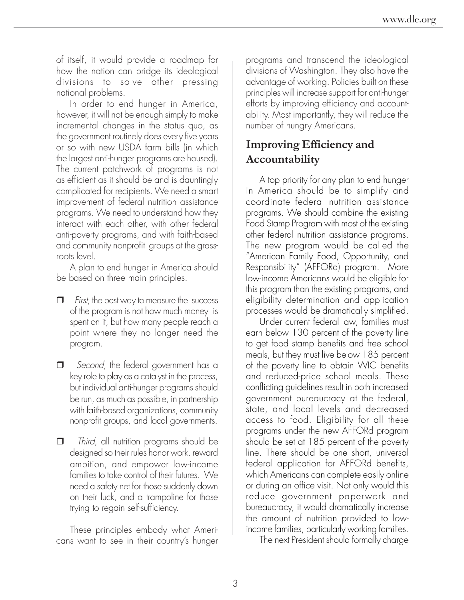of itself, it would provide a roadmap for how the nation can bridge its ideological divisions to solve other pressing national problems.

In order to end hunger in America, however, it will not be enough simply to make incremental changes in the status quo, as the government routinely does every five years or so with new USDA farm bills (in which the largest anti-hunger programs are housed). The current patchwork of programs is not as efficient as it should be and is dauntingly complicated for recipients. We need a smart improvement of federal nutrition assistance programs. We need to understand how they interact with each other, with other federal anti-poverty programs, and with faith-based and community nonprofit groups at the grassroots level.

A plan to end hunger in America should be based on three main principles.

- $\Box$  First, the best way to measure the success of the program is not how much money is spent on it, but how many people reach a point where they no longer need the program.
- Second, the federal government has a key role to play as a catalyst in the process, but individual anti-hunger programs should be run, as much as possible, in partnership with faith-based organizations, community nonprofit groups, and local governments.
- $\Box$  Third, all nutrition programs should be designed so their rules honor work, reward ambition, and empower low-income families to take control of their futures. We need a safety net for those suddenly down on their luck, and a trampoline for those trying to regain self-sufficiency.

These principles embody what Americans want to see in their country's hunger programs and transcend the ideological divisions of Washington. They also have the advantage of working. Policies built on these principles will increase support for anti-hunger efforts by improving efficiency and accountability. Most importantly, they will reduce the number of hungry Americans.

### **Improving Efficiency and Accountability**

A top priority for any plan to end hunger in America should be to simplify and coordinate federal nutrition assistance programs. We should combine the existing Food Stamp Program with most of the existing other federal nutrition assistance programs. The new program would be called the "American Family Food, Opportunity, and Responsibility" (AFFORd) program. More low-income Americans would be eligible for this program than the existing programs, and eligibility determination and application processes would be dramatically simplified.

Under current federal law, families must earn below 130 percent of the poverty line to get food stamp benefits and free school meals, but they must live below 185 percent of the poverty line to obtain WIC benefits and reduced-price school meals. These conflicting guidelines result in both increased government bureaucracy at the federal, state, and local levels and decreased access to food. Eligibility for all these programs under the new AFFORd program should be set at 185 percent of the poverty line. There should be one short, universal federal application for AFFORd benefits, which Americans can complete easily online or during an office visit. Not only would this reduce government paperwork and bureaucracy, it would dramatically increase the amount of nutrition provided to lowincome families, particularly working families.

The next President should formally charge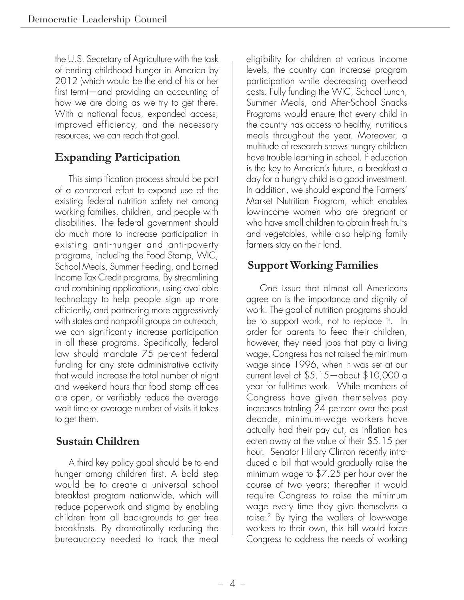the U.S. Secretary of Agriculture with the task of ending childhood hunger in America by 2012 (which would be the end of his or her first term)—and providing an accounting of how we are doing as we try to get there. With a national focus, expanded access, improved efficiency, and the necessary resources, we can reach that goal.

## **Expanding Participation**

This simplification process should be part of a concerted effort to expand use of the existing federal nutrition safety net among working families, children, and people with disabilities. The federal government should do much more to increase participation in existing anti-hunger and anti-poverty programs, including the Food Stamp, WIC, School Meals, Summer Feeding, and Earned Income Tax Credit programs. By streamlining and combining applications, using available technology to help people sign up more efficiently, and partnering more aggressively with states and nonprofit groups on outreach, we can significantly increase participation in all these programs. Specifically, federal law should mandate 75 percent federal funding for any state administrative activity that would increase the total number of night and weekend hours that food stamp offices are open, or verifiably reduce the average wait time or average number of visits it takes to get them.

#### **Sustain Children**

A third key policy goal should be to end hunger among children first. A bold step would be to create a universal school breakfast program nationwide, which will reduce paperwork and stigma by enabling children from all backgrounds to get free breakfasts. By dramatically reducing the bureaucracy needed to track the meal eligibility for children at various income levels, the country can increase program participation while decreasing overhead costs. Fully funding the WIC, School Lunch, Summer Meals, and After-School Snacks Programs would ensure that every child in the country has access to healthy, nutritious meals throughout the year. Moreover, a multitude of research shows hungry children have trouble learning in school. If education is the key to America's future, a breakfast a day for a hungry child is a good investment. In addition, we should expand the Farmers' Market Nutrition Program, which enables low-income women who are pregnant or who have small children to obtain fresh fruits and vegetables, while also helping family farmers stay on their land.

#### **Support Working Families**

One issue that almost all Americans agree on is the importance and dignity of work. The goal of nutrition programs should be to support work, not to replace it. In order for parents to feed their children, however, they need jobs that pay a living wage. Congress has not raised the minimum wage since 1996, when it was set at our current level of \$5.15—about \$10,000 a year for full-time work. While members of Congress have given themselves pay increases totaling 24 percent over the past decade, minimum-wage workers have actually had their pay cut, as inflation has eaten away at the value of their \$5.15 per hour. Senator Hillary Clinton recently introduced a bill that would gradually raise the minimum wage to \$7.25 per hour over the course of two years; thereafter it would require Congress to raise the minimum wage every time they give themselves a raise.2 By tying the wallets of low-wage workers to their own, this bill would force Congress to address the needs of working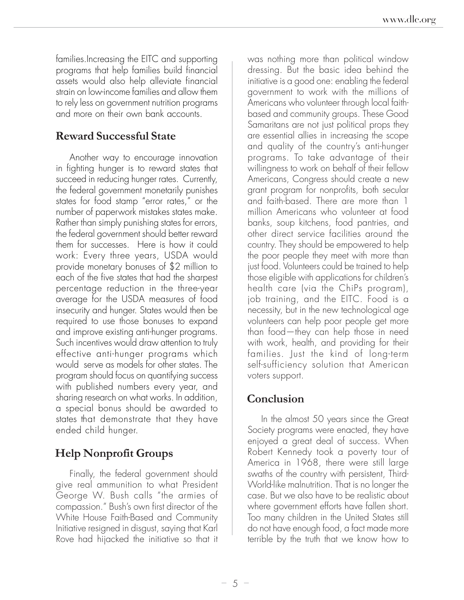families.Increasing the EITC and supporting programs that help families build financial assets would also help alleviate financial strain on low-income families and allow them to rely less on government nutrition programs and more on their own bank accounts.

#### **Reward Successful State**

Another way to encourage innovation in fighting hunger is to reward states that succeed in reducing hunger rates. Currently, the federal government monetarily punishes states for food stamp "error rates," or the number of paperwork mistakes states make. Rather than simply punishing states for errors, the federal government should better reward them for successes. Here is how it could work: Every three years, USDA would provide monetary bonuses of \$2 million to each of the five states that had the sharpest percentage reduction in the three-year average for the USDA measures of food insecurity and hunger. States would then be required to use those bonuses to expand and improve existing anti-hunger programs. Such incentives would draw attention to truly effective anti-hunger programs which would serve as models for other states. The program should focus on quantifying success with published numbers every year, and sharing research on what works. In addition, a special bonus should be awarded to states that demonstrate that they have ended child hunger.

# **Help Nonprofit Groups**

Finally, the federal government should give real ammunition to what President George W. Bush calls "the armies of compassion." Bush's own first director of the White House Faith-Based and Community Initiative resigned in disgust, saying that Karl Rove had hijacked the initiative so that it was nothing more than political window dressing. But the basic idea behind the initiative is a good one: enabling the federal government to work with the millions of Americans who volunteer through local faithbased and community groups. These Good Samaritans are not just political props they are essential allies in increasing the scope and quality of the country's anti-hunger programs. To take advantage of their willingness to work on behalf of their fellow Americans, Congress should create a new grant program for nonprofits, both secular and faith-based. There are more than 1 million Americans who volunteer at food banks, soup kitchens, food pantries, and other direct service facilities around the country. They should be empowered to help the poor people they meet with more than just food. Volunteers could be trained to help those eligible with applications for children's health care (via the ChiPs program), job training, and the EITC. Food is a necessity, but in the new technological age volunteers can help poor people get more than food—they can help those in need with work, health, and providing for their families. Just the kind of long-term self-sufficiency solution that American voters support.

### **Conclusion**

In the almost 50 years since the Great Society programs were enacted, they have enjoyed a great deal of success. When Robert Kennedy took a poverty tour of America in 1968, there were still large swaths of the country with persistent, Third-World-like malnutrition. That is no longer the case. But we also have to be realistic about where government efforts have fallen short. Too many children in the United States still do not have enough food, a fact made more terrible by the truth that we know how to